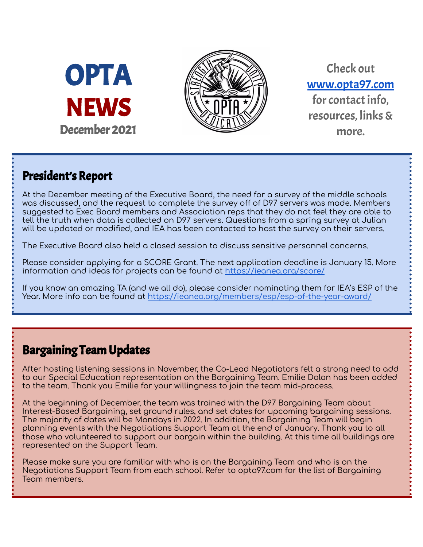



Check out [www.opta97.com](http://www.opta97.com) for contact info. resources, links& more.

## President's Report

At the December meeting of the Executive Board, the need for a survey of the middle schools was discussed, and the request to complete the survey off of D97 servers was made. Members suggested to Exec Board members and Association reps that they do not feel they are able to tell the truth when data is collected on D97 servers. Questions from a spring survey at Julian will be updated or modified, and IEA has been contacted to host the survey on their servers.

The Executive Board also held a closed session to discuss sensitive personnel concerns.

Please consider applying for a SCORE Grant. The next application deadline is January 15. More information and ideas for projects can be found at <https://ieanea.org/score/>

If you know an amazing TA (and we all do), please consider nominating them for IEA's ESP of the Year. More info can be found at <https://ieanea.org/members/esp/esp-of-the-year-award/>

## Bargaining Team Updates

After hosting listening sessions in November, the Co-Lead Negotiators felt a strong need to add to our Special Education representation on the Bargaining Team. Emilie Dolan has been added to the team. Thank you Emilie for your willingness to join the team mid-process.

At the beginning of December, the team was trained with the D97 Bargaining Team about Interest-Based Bargaining, set ground rules, and set dates for upcoming bargaining sessions. The majority of dates will be Mondays in 2022. In addition, the Bargaining Team will begin planning events with the Negotiations Support Team at the end of January. Thank you to all those who volunteered to support our bargain within the building. At this time all buildings are represented on the Support Team.

Please make sure you are familiar with who is on the Bargaining Team and who is on the Negotiations Support Team from each school. Refer to opta97.com for the list of Bargaining Team members.